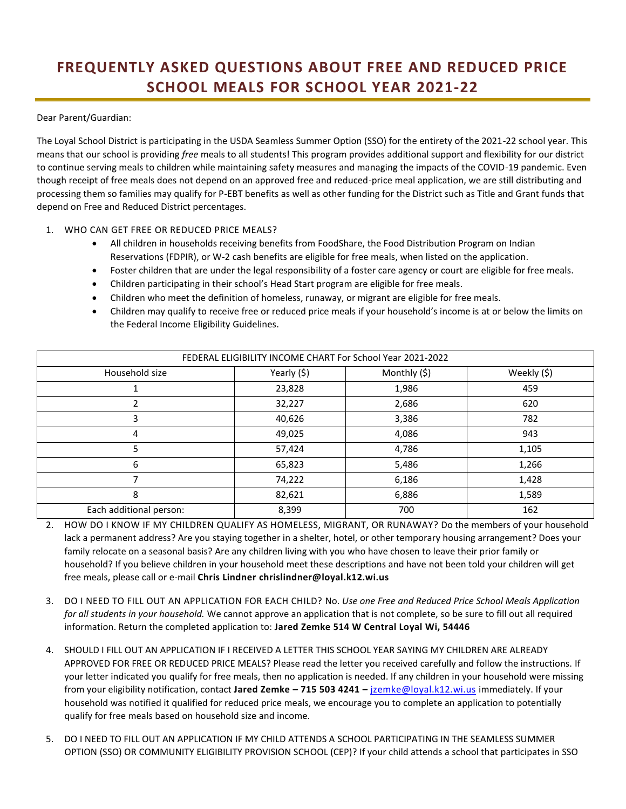## **FREQUENTLY ASKED QUESTIONS ABOUT FREE AND REDUCED PRICE SCHOOL MEALS FOR SCHOOL YEAR 2021-22**

Dear Parent/Guardian:

The Loyal School District is participating in the USDA Seamless Summer Option (SSO) for the entirety of the 2021-22 school year. This means that our school is providing *free* meals to all students! This program provides additional support and flexibility for our district to continue serving meals to children while maintaining safety measures and managing the impacts of the COVID-19 pandemic. Even though receipt of free meals does not depend on an approved free and reduced-price meal application, we are still distributing and processing them so families may qualify for P-EBT benefits as well as other funding for the District such as Title and Grant funds that depend on Free and Reduced District percentages.

## 1. WHO CAN GET FREE OR REDUCED PRICE MEALS?

- All children in households receiving benefits from FoodShare, the Food Distribution Program on Indian Reservations (FDPIR), or W-2 cash benefits are eligible for free meals, when listed on the application.
- Foster children that are under the legal responsibility of a foster care agency or court are eligible for free meals.
- Children participating in their school's Head Start program are eligible for free meals.
- Children who meet the definition of homeless, runaway, or migrant are eligible for free meals.
- Children may qualify to receive free or reduced price meals if your household's income is at or below the limits on the Federal Income Eligibility Guidelines.

| FEDERAL ELIGIBILITY INCOME CHART For School Year 2021-2022 |             |              |             |
|------------------------------------------------------------|-------------|--------------|-------------|
| Household size                                             | Yearly (\$) | Monthly (\$) | Weekly (\$) |
|                                                            | 23,828      | 1,986        | 459         |
| 2                                                          | 32,227      | 2,686        | 620         |
| 3                                                          | 40,626      | 3,386        | 782         |
| 4                                                          | 49,025      | 4,086        | 943         |
| 5                                                          | 57,424      | 4,786        | 1,105       |
| 6                                                          | 65,823      | 5,486        | 1,266       |
|                                                            | 74,222      | 6,186        | 1,428       |
| 8                                                          | 82,621      | 6,886        | 1,589       |
| Each additional person:                                    | 8,399       | 700          | 162         |

- 2. HOW DO I KNOW IF MY CHILDREN QUALIFY AS HOMELESS, MIGRANT, OR RUNAWAY? Do the members of your household lack a permanent address? Are you staying together in a shelter, hotel, or other temporary housing arrangement? Does your family relocate on a seasonal basis? Are any children living with you who have chosen to leave their prior family or household? If you believe children in your household meet these descriptions and have not been told your children will get free meals, please call or e-mail **Chris Lindner chrislindner@loyal.k12.wi.us**
- 3. DO I NEED TO FILL OUT AN APPLICATION FOR EACH CHILD? No. *Use one Free and Reduced Price School Meals Application for all students in your household.* We cannot approve an application that is not complete, so be sure to fill out all required information. Return the completed application to: **Jared Zemke 514 W Central Loyal Wi, 54446**
- 4. SHOULD I FILL OUT AN APPLICATION IF I RECEIVED A LETTER THIS SCHOOL YEAR SAYING MY CHILDREN ARE ALREADY APPROVED FOR FREE OR REDUCED PRICE MEALS? Please read the letter you received carefully and follow the instructions. If your letter indicated you qualify for free meals, then no application is needed. If any children in your household were missing from your eligibility notification, contact **Jared Zemke – 715 503 4241 –** [jzemke@loyal.k12.wi.us](mailto:jzemke@loyal.k12.wi.us) immediately. If your household was notified it qualified for reduced price meals, we encourage you to complete an application to potentially qualify for free meals based on household size and income.
- 5. DO I NEED TO FILL OUT AN APPLICATION IF MY CHILD ATTENDS A SCHOOL PARTICIPATING IN THE SEAMLESS SUMMER OPTION (SSO) OR COMMUNITY ELIGIBILITY PROVISION SCHOOL (CEP)? If your child attends a school that participates in SSO